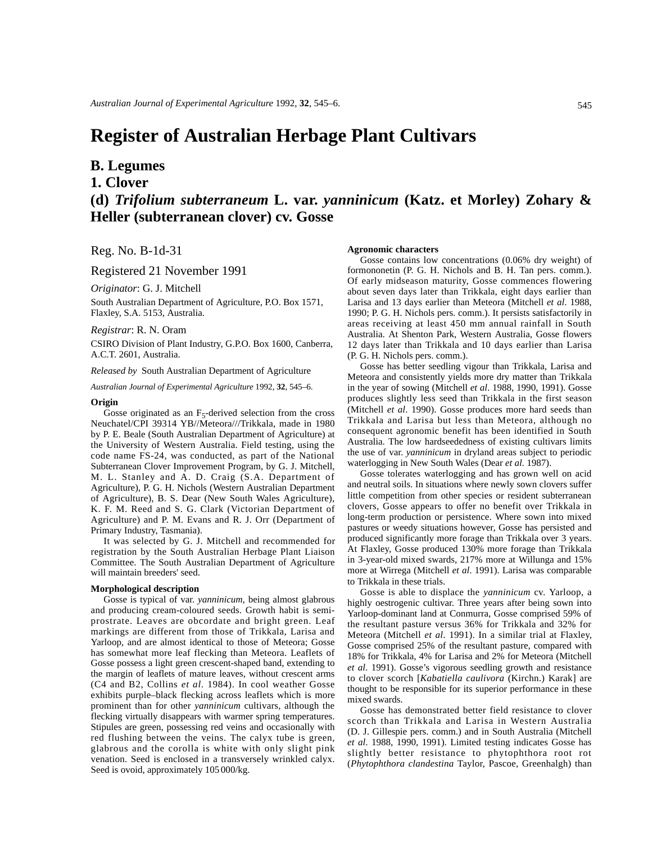# **Register of Australian Herbage Plant Cultivars**

## **B. Legumes**

**1. Clover**

**(d)** *Trifolium subterraneum* **L. var.** *yanninicum* **(Katz. et Morley) Zohary & Heller (subterranean clover) cv. Gosse**

Reg. No. B-1d-31

Registered 21 November 1991

*Originator*: G. J. Mitchell

South Australian Department of Agriculture, P.O. Box 1571, Flaxley, S.A. 5153, Australia.

### *Registrar*: R. N. Oram

CSIRO Division of Plant Industry, G.P.O. Box 1600, Canberra, A.C.T. 2601, Australia.

*Released by* South Australian Department of Agriculture

*Australian Journal of Experimental Agriculture* 1992, **32**, 545–6.

#### **Origin**

Gosse originated as an  $F_5$ -derived selection from the cross Neuchatel/CPI 39314 YB//Meteora///Trikkala, made in 1980 by P. E. Beale (South Australian Department of Agriculture) at the University of Western Australia. Field testing, using the code name FS-24, was conducted, as part of the National Subterranean Clover Improvement Program, by G. J. Mitchell, M. L. Stanley and A. D. Craig (S.A. Department of Agriculture), P. G. H. Nichols (Western Australian Department of Agriculture), B. S. Dear (New South Wales Agriculture), K. F. M. Reed and S. G. Clark (Victorian Department of Agriculture) and P. M. Evans and R. J. Orr (Department of Primary Industry, Tasmania).

It was selected by G. J. Mitchell and recommended for registration by the South Australian Herbage Plant Liaison Committee. The South Australian Department of Agriculture will maintain breeders' seed.

#### **Morphological description**

Gosse is typical of var. *yanninicum*, being almost glabrous and producing cream-coloured seeds. Growth habit is semiprostrate. Leaves are obcordate and bright green. Leaf markings are different from those of Trikkala, Larisa and Yarloop, and are almost identical to those of Meteora; Gosse has somewhat more leaf flecking than Meteora. Leaflets of Gosse possess a light green crescent-shaped band, extending to the margin of leaflets of mature leaves, without crescent arms (C4 and B2, Collins *et al*. 1984). In cool weather Gosse exhibits purple–black flecking across leaflets which is more prominent than for other *yanninicum* cultivars, although the flecking virtually disappears with warmer spring temperatures. Stipules are green, possessing red veins and occasionally with red flushing between the veins. The calyx tube is green, glabrous and the corolla is white with only slight pink venation. Seed is enclosed in a transversely wrinkled calyx. Seed is ovoid, approximately 105 000/kg.

#### **Agronomic characters**

Gosse contains low concentrations (0.06% dry weight) of formononetin (P. G. H. Nichols and B. H. Tan pers. comm.). Of early midseason maturity, Gosse commences flowering about seven days later than Trikkala, eight days earlier than Larisa and 13 days earlier than Meteora (Mitchell *et al*. 1988, 1990; P. G. H. Nichols pers. comm.). It persists satisfactorily in areas receiving at least 450 mm annual rainfall in South Australia. At Shenton Park, Western Australia, Gosse flowers 12 days later than Trikkala and 10 days earlier than Larisa (P. G. H. Nichols pers. comm.).

Gosse has better seedling vigour than Trikkala, Larisa and Meteora and consistently yields more dry matter than Trikkala in the year of sowing (Mitchell *et al*. 1988, 1990, 1991). Gosse produces slightly less seed than Trikkala in the first season (Mitchell *et al*. 1990). Gosse produces more hard seeds than Trikkala and Larisa but less than Meteora, although no consequent agronomic benefit has been identified in South Australia. The low hardseededness of existing cultivars limits the use of var. *yanninicum* in dryland areas subject to periodic waterlogging in New South Wales (Dear *et al*. 1987).

Gosse tolerates waterlogging and has grown well on acid and neutral soils. In situations where newly sown clovers suffer little competition from other species or resident subterranean clovers, Gosse appears to offer no benefit over Trikkala in long-term production or persistence. Where sown into mixed pastures or weedy situations however, Gosse has persisted and produced significantly more forage than Trikkala over 3 years. At Flaxley, Gosse produced 130% more forage than Trikkala in 3-year-old mixed swards, 217% more at Willunga and 15% more at Wirrega (Mitchell *et al*. 1991). Larisa was comparable to Trikkala in these trials.

Gosse is able to displace the *yanninicum* cv. Yarloop, a highly oestrogenic cultivar. Three years after being sown into Yarloop-dominant land at Conmurra, Gosse comprised 59% of the resultant pasture versus 36% for Trikkala and 32% for Meteora (Mitchell *et al*. 1991). In a similar trial at Flaxley, Gosse comprised 25% of the resultant pasture, compared with 18% for Trikkala, 4% for Larisa and 2% for Meteora (Mitchell *et al*. 1991). Gosse's vigorous seedling growth and resistance to clover scorch [*Kabatiella caulivora* (Kirchn.) Karak] are thought to be responsible for its superior performance in these mixed swards.

Gosse has demonstrated better field resistance to clover scorch than Trikkala and Larisa in Western Australia (D. J. Gillespie pers. comm.) and in South Australia (Mitchell *et al*. 1988, 1990, 1991). Limited testing indicates Gosse has slightly better resistance to phytophthora root rot (*Phytophthora clandestina* Taylor, Pascoe, Greenhalgh) than